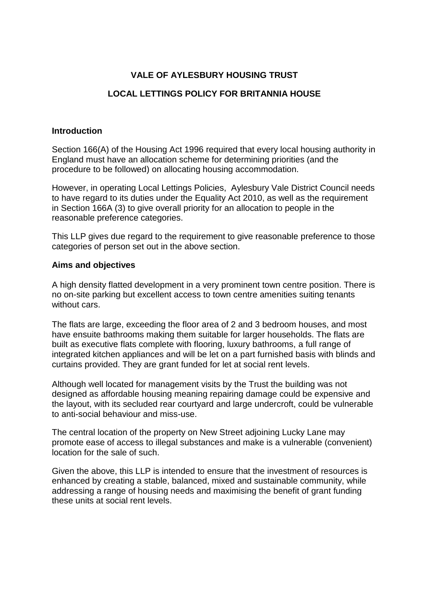## **VALE OF AYLESBURY HOUSING TRUST**

# **LOCAL LETTINGS POLICY FOR BRITANNIA HOUSE**

#### **Introduction**

Section 166(A) of the Housing Act 1996 required that every local housing authority in England must have an allocation scheme for determining priorities (and the procedure to be followed) on allocating housing accommodation.

However, in operating Local Lettings Policies, Aylesbury Vale District Council needs to have regard to its duties under the Equality Act 2010, as well as the requirement in Section 166A (3) to give overall priority for an allocation to people in the reasonable preference categories.

This LLP gives due regard to the requirement to give reasonable preference to those categories of person set out in the above section.

#### **Aims and objectives**

A high density flatted development in a very prominent town centre position. There is no on-site parking but excellent access to town centre amenities suiting tenants without cars.

The flats are large, exceeding the floor area of 2 and 3 bedroom houses, and most have ensuite bathrooms making them suitable for larger households. The flats are built as executive flats complete with flooring, luxury bathrooms, a full range of integrated kitchen appliances and will be let on a part furnished basis with blinds and curtains provided. They are grant funded for let at social rent levels.

Although well located for management visits by the Trust the building was not designed as affordable housing meaning repairing damage could be expensive and the layout, with its secluded rear courtyard and large undercroft, could be vulnerable to anti-social behaviour and miss-use.

The central location of the property on New Street adjoining Lucky Lane may promote ease of access to illegal substances and make is a vulnerable (convenient) location for the sale of such.

Given the above, this LLP is intended to ensure that the investment of resources is enhanced by creating a stable, balanced, mixed and sustainable community, while addressing a range of housing needs and maximising the benefit of grant funding these units at social rent levels.